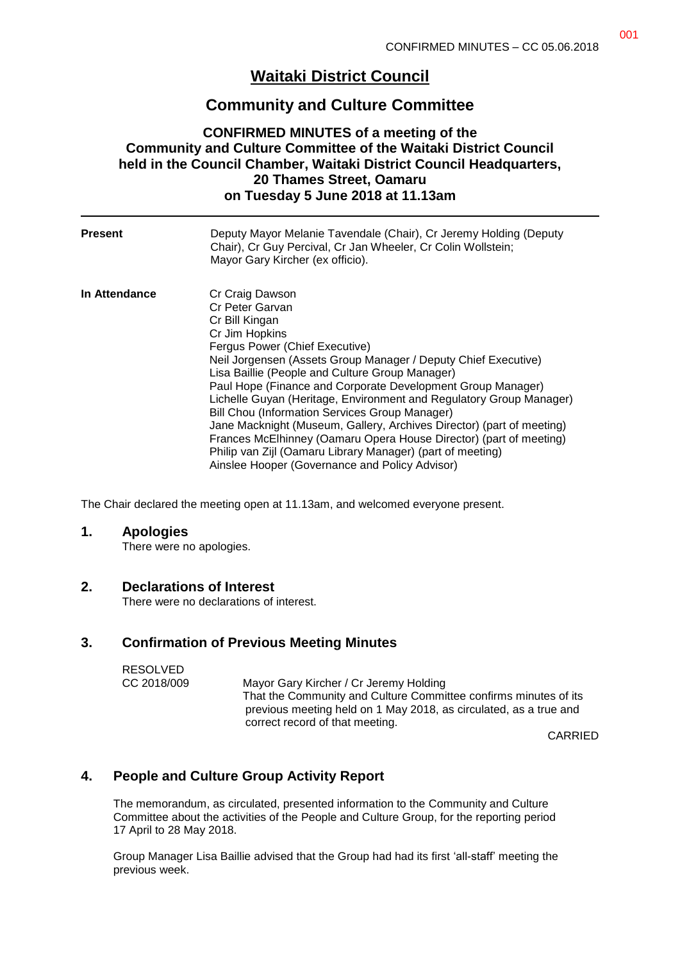# **Waitaki District Council**

## **Community and Culture Committee**

#### **CONFIRMED MINUTES of a meeting of the Community and Culture Committee of the Waitaki District Council held in the Council Chamber, Waitaki District Council Headquarters, 20 Thames Street, Oamaru on Tuesday 5 June 2018 at 11.13am**

| <b>Present</b> | Deputy Mayor Melanie Tavendale (Chair), Cr Jeremy Holding (Deputy<br>Chair), Cr Guy Percival, Cr Jan Wheeler, Cr Colin Wollstein;<br>Mayor Gary Kircher (ex officio).                                                                                                                                                                                                                                                                                                                                                                                                                                                                                                                |
|----------------|--------------------------------------------------------------------------------------------------------------------------------------------------------------------------------------------------------------------------------------------------------------------------------------------------------------------------------------------------------------------------------------------------------------------------------------------------------------------------------------------------------------------------------------------------------------------------------------------------------------------------------------------------------------------------------------|
| In Attendance  | Cr Craig Dawson<br>Cr Peter Garvan<br>Cr Bill Kingan<br>Cr Jim Hopkins<br>Fergus Power (Chief Executive)<br>Neil Jorgensen (Assets Group Manager / Deputy Chief Executive)<br>Lisa Baillie (People and Culture Group Manager)<br>Paul Hope (Finance and Corporate Development Group Manager)<br>Lichelle Guyan (Heritage, Environment and Regulatory Group Manager)<br>Bill Chou (Information Services Group Manager)<br>Jane Macknight (Museum, Gallery, Archives Director) (part of meeting)<br>Frances McElhinney (Oamaru Opera House Director) (part of meeting)<br>Philip van Zijl (Oamaru Library Manager) (part of meeting)<br>Ainslee Hooper (Governance and Policy Advisor) |

The Chair declared the meeting open at 11.13am, and welcomed everyone present.

#### **1. Apologies**

There were no apologies.

#### **2. Declarations of Interest**

There were no declarations of interest.

### **3. Confirmation of Previous Meeting Minutes**

| <b>RESOLVED</b> |                                                                                                                                                                          |
|-----------------|--------------------------------------------------------------------------------------------------------------------------------------------------------------------------|
| CC 2018/009     | Mayor Gary Kircher / Cr Jeremy Holding                                                                                                                                   |
|                 | That the Community and Culture Committee confirms minutes of its<br>previous meeting held on 1 May 2018, as circulated, as a true and<br>correct record of that meeting. |
|                 | <b>AIRRIP</b>                                                                                                                                                            |

CARRIED

## **4. People and Culture Group Activity Report**

The memorandum, as circulated, presented information to the Community and Culture Committee about the activities of the People and Culture Group, for the reporting period 17 April to 28 May 2018.

Group Manager Lisa Baillie advised that the Group had had its first 'all-staff' meeting the previous week.